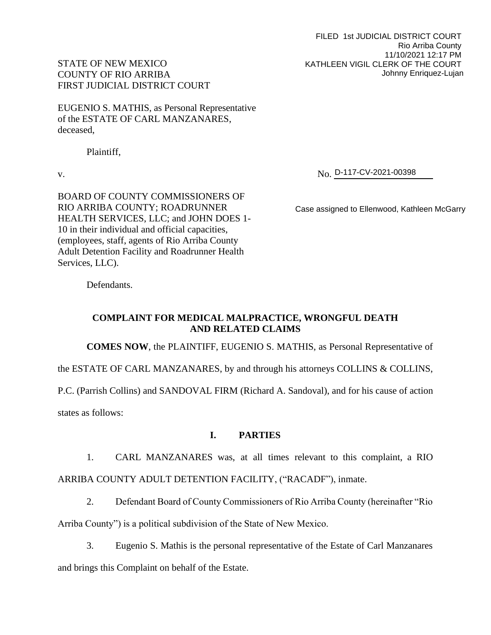FILED 1st JUDICIAL DISTRICT COURT Rio Arriba County 11/10/2021 12:17 PM KATHLEEN VIGIL CLERK OF THE COURT Johnny Enriquez-Lujan

# STATE OF NEW MEXICO COUNTY OF RIO ARRIBA FIRST JUDICIAL DISTRICT COURT

EUGENIO S. MATHIS, as Personal Representative of the ESTATE OF CARL MANZANARES, deceased,

Plaintiff,

v. No. No. D-117-CV-2021-00398

BOARD OF COUNTY COMMISSIONERS OF RIO ARRIBA COUNTY; ROADRUNNER HEALTH SERVICES, LLC; and JOHN DOES 1- 10 in their individual and official capacities, (employees, staff, agents of Rio Arriba County Adult Detention Facility and Roadrunner Health Services, LLC).

Case assigned to Ellenwood, Kathleen McGarry

Defendants.

# **COMPLAINT FOR MEDICAL MALPRACTICE, WRONGFUL DEATH AND RELATED CLAIMS**

**COMES NOW**, the PLAINTIFF, EUGENIO S. MATHIS, as Personal Representative of

the ESTATE OF CARL MANZANARES, by and through his attorneys COLLINS & COLLINS,

P.C. (Parrish Collins) and SANDOVAL FIRM (Richard A. Sandoval), and for his cause of action

states as follows:

# **I. PARTIES**

1. CARL MANZANARES was, at all times relevant to this complaint, a RIO ARRIBA COUNTY ADULT DETENTION FACILITY, ("RACADF"), inmate.

2. Defendant Board of County Commissioners of Rio Arriba County (hereinafter "Rio

Arriba County") is a political subdivision of the State of New Mexico.

3. Eugenio S. Mathis is the personal representative of the Estate of Carl Manzanares and brings this Complaint on behalf of the Estate.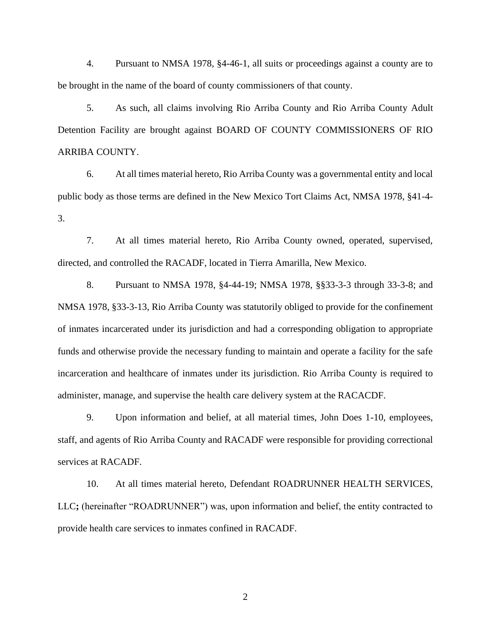4. Pursuant to NMSA 1978, §4-46-1, all suits or proceedings against a county are to be brought in the name of the board of county commissioners of that county.

5. As such, all claims involving Rio Arriba County and Rio Arriba County Adult Detention Facility are brought against BOARD OF COUNTY COMMISSIONERS OF RIO ARRIBA COUNTY.

6. At all times material hereto, Rio Arriba County was a governmental entity and local public body as those terms are defined in the New Mexico Tort Claims Act, NMSA 1978, §41-4- 3.

7. At all times material hereto, Rio Arriba County owned, operated, supervised, directed, and controlled the RACADF, located in Tierra Amarilla, New Mexico.

8. Pursuant to NMSA 1978, §4-44-19; NMSA 1978, §§33-3-3 through 33-3-8; and NMSA 1978, §33-3-13, Rio Arriba County was statutorily obliged to provide for the confinement of inmates incarcerated under its jurisdiction and had a corresponding obligation to appropriate funds and otherwise provide the necessary funding to maintain and operate a facility for the safe incarceration and healthcare of inmates under its jurisdiction. Rio Arriba County is required to administer, manage, and supervise the health care delivery system at the RACACDF.

9. Upon information and belief, at all material times, John Does 1-10, employees, staff, and agents of Rio Arriba County and RACADF were responsible for providing correctional services at RACADF.

10. At all times material hereto, Defendant ROADRUNNER HEALTH SERVICES, LLC**;** (hereinafter "ROADRUNNER") was, upon information and belief, the entity contracted to provide health care services to inmates confined in RACADF.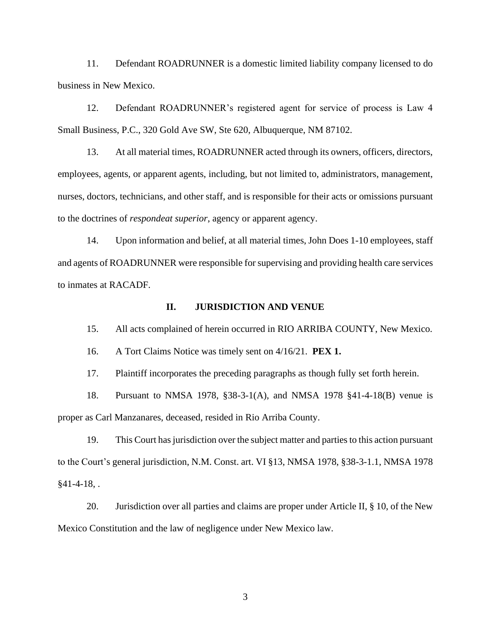11. Defendant ROADRUNNER is a domestic limited liability company licensed to do business in New Mexico.

12. Defendant ROADRUNNER's registered agent for service of process is Law 4 Small Business, P.C., 320 Gold Ave SW, Ste 620, Albuquerque, NM 87102.

13. At all material times, ROADRUNNER acted through its owners, officers, directors, employees, agents, or apparent agents, including, but not limited to, administrators, management, nurses, doctors, technicians, and other staff, and is responsible for their acts or omissions pursuant to the doctrines of *respondeat superior*, agency or apparent agency.

14. Upon information and belief, at all material times, John Does 1-10 employees, staff and agents of ROADRUNNER were responsible for supervising and providing health care services to inmates at RACADF.

#### **II. JURISDICTION AND VENUE**

15. All acts complained of herein occurred in RIO ARRIBA COUNTY, New Mexico.

16. A Tort Claims Notice was timely sent on 4/16/21. **PEX 1.**

17. Plaintiff incorporates the preceding paragraphs as though fully set forth herein.

18. Pursuant to NMSA 1978, §38-3-1(A), and NMSA 1978 §41-4-18(B) venue is proper as Carl Manzanares, deceased, resided in Rio Arriba County.

19. This Court has jurisdiction over the subject matter and parties to this action pursuant to the Court's general jurisdiction, N.M. Const. art. VI §13, NMSA 1978, §38-3-1.1, NMSA 1978  $§41-4-18$ , .

20. Jurisdiction over all parties and claims are proper under Article II, § 10, of the New Mexico Constitution and the law of negligence under New Mexico law.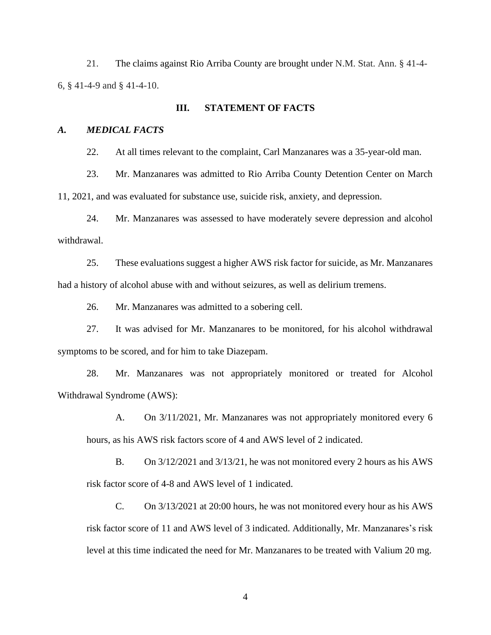21. The claims against Rio Arriba County are brought under N.M. Stat. Ann. § 41-4- 6, § 41-4-9 and § 41-4-10.

#### **III. STATEMENT OF FACTS**

#### *A. MEDICAL FACTS*

22. At all times relevant to the complaint, Carl Manzanares was a 35-year-old man.

23. Mr. Manzanares was admitted to Rio Arriba County Detention Center on March 11, 2021, and was evaluated for substance use, suicide risk, anxiety, and depression.

24. Mr. Manzanares was assessed to have moderately severe depression and alcohol withdrawal.

25. These evaluations suggest a higher AWS risk factor for suicide, as Mr. Manzanares had a history of alcohol abuse with and without seizures, as well as delirium tremens.

26. Mr. Manzanares was admitted to a sobering cell.

27. It was advised for Mr. Manzanares to be monitored, for his alcohol withdrawal symptoms to be scored, and for him to take Diazepam.

28. Mr. Manzanares was not appropriately monitored or treated for Alcohol Withdrawal Syndrome (AWS):

A. On 3/11/2021, Mr. Manzanares was not appropriately monitored every 6 hours, as his AWS risk factors score of 4 and AWS level of 2 indicated.

B. On 3/12/2021 and 3/13/21, he was not monitored every 2 hours as his AWS risk factor score of 4-8 and AWS level of 1 indicated.

C. On 3/13/2021 at 20:00 hours, he was not monitored every hour as his AWS risk factor score of 11 and AWS level of 3 indicated. Additionally, Mr. Manzanares's risk level at this time indicated the need for Mr. Manzanares to be treated with Valium 20 mg.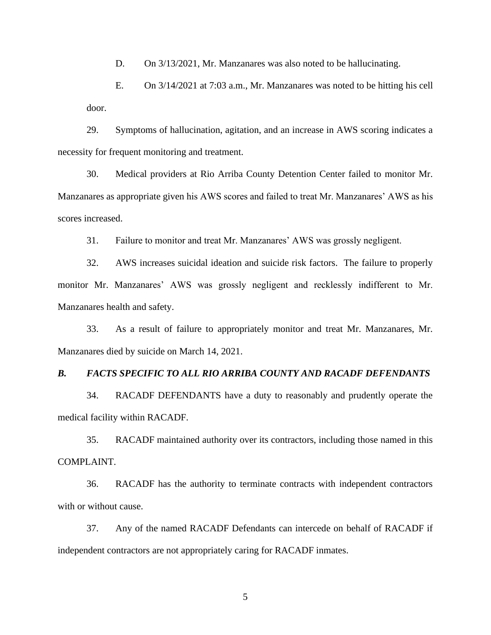D. On  $3/13/2021$ , Mr. Manzanares was also noted to be hallucinating.

E. On 3/14/2021 at 7:03 a.m., Mr. Manzanares was noted to be hitting his cell door.

29. Symptoms of hallucination, agitation, and an increase in AWS scoring indicates a necessity for frequent monitoring and treatment.

30. Medical providers at Rio Arriba County Detention Center failed to monitor Mr. Manzanares as appropriate given his AWS scores and failed to treat Mr. Manzanares' AWS as his scores increased.

31. Failure to monitor and treat Mr. Manzanares' AWS was grossly negligent.

32. AWS increases suicidal ideation and suicide risk factors. The failure to properly monitor Mr. Manzanares' AWS was grossly negligent and recklessly indifferent to Mr. Manzanares health and safety.

33. As a result of failure to appropriately monitor and treat Mr. Manzanares, Mr. Manzanares died by suicide on March 14, 2021.

#### *B. FACTS SPECIFIC TO ALL RIO ARRIBA COUNTY AND RACADF DEFENDANTS*

34. RACADF DEFENDANTS have a duty to reasonably and prudently operate the medical facility within RACADF.

35. RACADF maintained authority over its contractors, including those named in this COMPLAINT.

36. RACADF has the authority to terminate contracts with independent contractors with or without cause.

37. Any of the named RACADF Defendants can intercede on behalf of RACADF if independent contractors are not appropriately caring for RACADF inmates.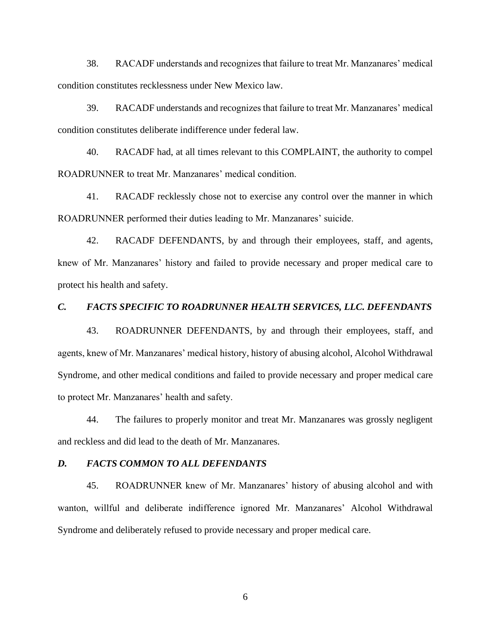38. RACADF understands and recognizes that failure to treat Mr. Manzanares' medical condition constitutes recklessness under New Mexico law.

39. RACADF understands and recognizes that failure to treat Mr. Manzanares' medical condition constitutes deliberate indifference under federal law.

40. RACADF had, at all times relevant to this COMPLAINT, the authority to compel ROADRUNNER to treat Mr. Manzanares' medical condition.

41. RACADF recklessly chose not to exercise any control over the manner in which ROADRUNNER performed their duties leading to Mr. Manzanares' suicide.

42. RACADF DEFENDANTS, by and through their employees, staff, and agents, knew of Mr. Manzanares' history and failed to provide necessary and proper medical care to protect his health and safety.

### *C. FACTS SPECIFIC TO ROADRUNNER HEALTH SERVICES, LLC. DEFENDANTS*

43. ROADRUNNER DEFENDANTS, by and through their employees, staff, and agents, knew of Mr. Manzanares' medical history, history of abusing alcohol, Alcohol Withdrawal Syndrome, and other medical conditions and failed to provide necessary and proper medical care to protect Mr. Manzanares' health and safety.

44. The failures to properly monitor and treat Mr. Manzanares was grossly negligent and reckless and did lead to the death of Mr. Manzanares.

### *D. FACTS COMMON TO ALL DEFENDANTS*

45. ROADRUNNER knew of Mr. Manzanares' history of abusing alcohol and with wanton, willful and deliberate indifference ignored Mr. Manzanares' Alcohol Withdrawal Syndrome and deliberately refused to provide necessary and proper medical care.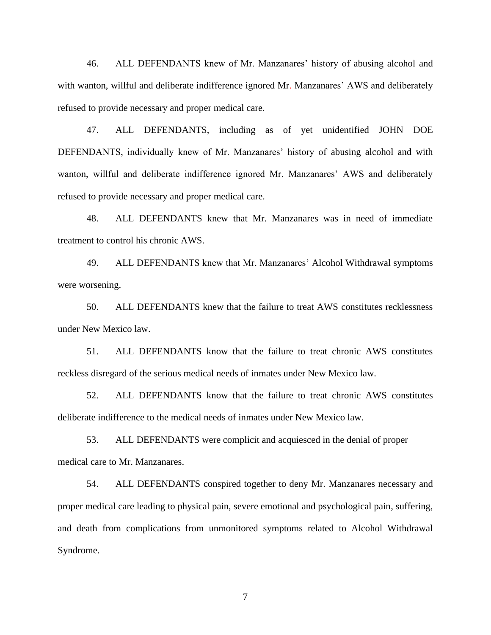46. ALL DEFENDANTS knew of Mr. Manzanares' history of abusing alcohol and with wanton, willful and deliberate indifference ignored Mr. Manzanares' AWS and deliberately refused to provide necessary and proper medical care.

47. ALL DEFENDANTS, including as of yet unidentified JOHN DOE DEFENDANTS, individually knew of Mr. Manzanares' history of abusing alcohol and with wanton, willful and deliberate indifference ignored Mr. Manzanares' AWS and deliberately refused to provide necessary and proper medical care.

48. ALL DEFENDANTS knew that Mr. Manzanares was in need of immediate treatment to control his chronic AWS.

49. ALL DEFENDANTS knew that Mr. Manzanares' Alcohol Withdrawal symptoms were worsening.

50. ALL DEFENDANTS knew that the failure to treat AWS constitutes recklessness under New Mexico law.

51. ALL DEFENDANTS know that the failure to treat chronic AWS constitutes reckless disregard of the serious medical needs of inmates under New Mexico law.

52. ALL DEFENDANTS know that the failure to treat chronic AWS constitutes deliberate indifference to the medical needs of inmates under New Mexico law.

53. ALL DEFENDANTS were complicit and acquiesced in the denial of proper medical care to Mr. Manzanares.

54. ALL DEFENDANTS conspired together to deny Mr. Manzanares necessary and proper medical care leading to physical pain, severe emotional and psychological pain, suffering, and death from complications from unmonitored symptoms related to Alcohol Withdrawal Syndrome.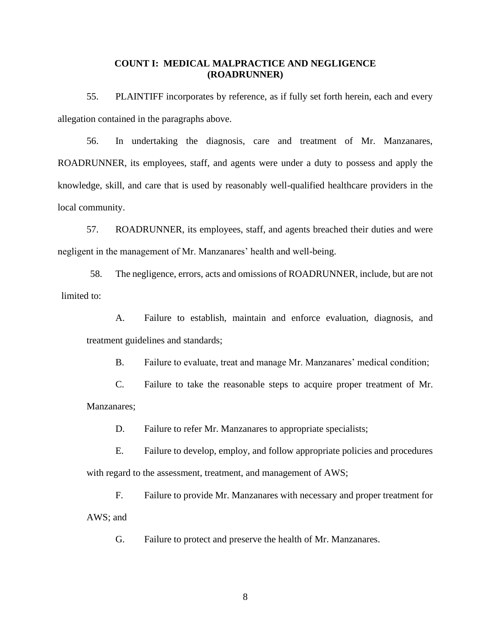### **COUNT I: MEDICAL MALPRACTICE AND NEGLIGENCE (ROADRUNNER)**

55. PLAINTIFF incorporates by reference, as if fully set forth herein, each and every allegation contained in the paragraphs above.

56. In undertaking the diagnosis, care and treatment of Mr. Manzanares, ROADRUNNER, its employees, staff, and agents were under a duty to possess and apply the knowledge, skill, and care that is used by reasonably well-qualified healthcare providers in the local community.

57. ROADRUNNER, its employees, staff, and agents breached their duties and were negligent in the management of Mr. Manzanares' health and well-being.

58. The negligence, errors, acts and omissions of ROADRUNNER, include, but are not limited to:

A. Failure to establish, maintain and enforce evaluation, diagnosis, and treatment guidelines and standards;

B. Failure to evaluate, treat and manage Mr. Manzanares' medical condition;

C. Failure to take the reasonable steps to acquire proper treatment of Mr. Manzanares;

D. Failure to refer Mr. Manzanares to appropriate specialists;

E. Failure to develop, employ, and follow appropriate policies and procedures with regard to the assessment, treatment, and management of AWS;

F. Failure to provide Mr. Manzanares with necessary and proper treatment for AWS; and

G. Failure to protect and preserve the health of Mr. Manzanares.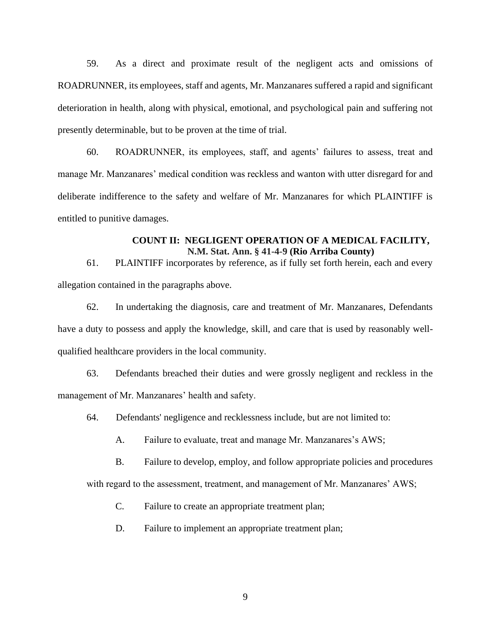59. As a direct and proximate result of the negligent acts and omissions of ROADRUNNER, its employees, staff and agents, Mr. Manzanares suffered a rapid and significant deterioration in health, along with physical, emotional, and psychological pain and suffering not presently determinable, but to be proven at the time of trial.

60. ROADRUNNER, its employees, staff, and agents' failures to assess, treat and manage Mr. Manzanares' medical condition was reckless and wanton with utter disregard for and deliberate indifference to the safety and welfare of Mr. Manzanares for which PLAINTIFF is entitled to punitive damages.

## **COUNT II: NEGLIGENT OPERATION OF A MEDICAL FACILITY, N.M. Stat. Ann. § 41-4-9 (Rio Arriba County)**

61. PLAINTIFF incorporates by reference, as if fully set forth herein, each and every allegation contained in the paragraphs above.

62. In undertaking the diagnosis, care and treatment of Mr. Manzanares, Defendants have a duty to possess and apply the knowledge, skill, and care that is used by reasonably wellqualified healthcare providers in the local community.

63. Defendants breached their duties and were grossly negligent and reckless in the management of Mr. Manzanares' health and safety.

- 64. Defendants' negligence and recklessness include, but are not limited to:
	- A. Failure to evaluate, treat and manage Mr. Manzanares's AWS;
	- B. Failure to develop, employ, and follow appropriate policies and procedures

with regard to the assessment, treatment, and management of Mr. Manzanares' AWS;

- C. Failure to create an appropriate treatment plan;
- D. Failure to implement an appropriate treatment plan;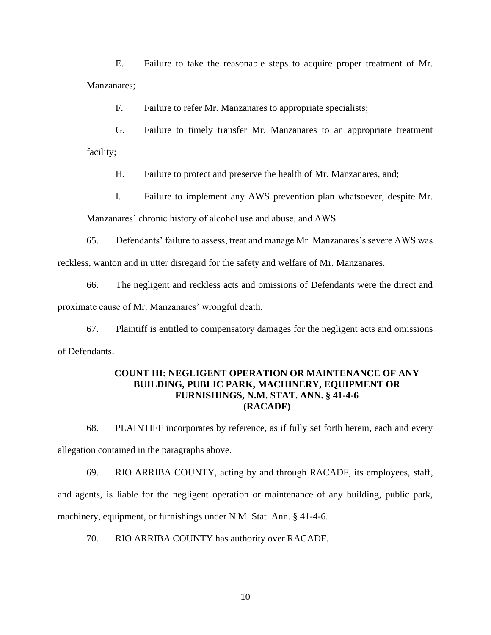E. Failure to take the reasonable steps to acquire proper treatment of Mr. Manzanares;

F. Failure to refer Mr. Manzanares to appropriate specialists;

G. Failure to timely transfer Mr. Manzanares to an appropriate treatment facility;

H. Failure to protect and preserve the health of Mr. Manzanares, and;

I. Failure to implement any AWS prevention plan whatsoever, despite Mr.

Manzanares' chronic history of alcohol use and abuse, and AWS.

65. Defendants' failure to assess, treat and manage Mr. Manzanares's severe AWS was reckless, wanton and in utter disregard for the safety and welfare of Mr. Manzanares.

66. The negligent and reckless acts and omissions of Defendants were the direct and proximate cause of Mr. Manzanares' wrongful death.

67. Plaintiff is entitled to compensatory damages for the negligent acts and omissions of Defendants.

## **COUNT III: NEGLIGENT OPERATION OR MAINTENANCE OF ANY BUILDING, PUBLIC PARK, MACHINERY, EQUIPMENT OR FURNISHINGS, N.M. STAT. ANN. § 41-4-6 (RACADF)**

68. PLAINTIFF incorporates by reference, as if fully set forth herein, each and every allegation contained in the paragraphs above.

69. RIO ARRIBA COUNTY, acting by and through RACADF, its employees, staff, and agents, is liable for the negligent operation or maintenance of any building, public park, machinery, equipment, or furnishings under N.M. Stat. Ann. § 41-4-6.

70. RIO ARRIBA COUNTY has authority over RACADF.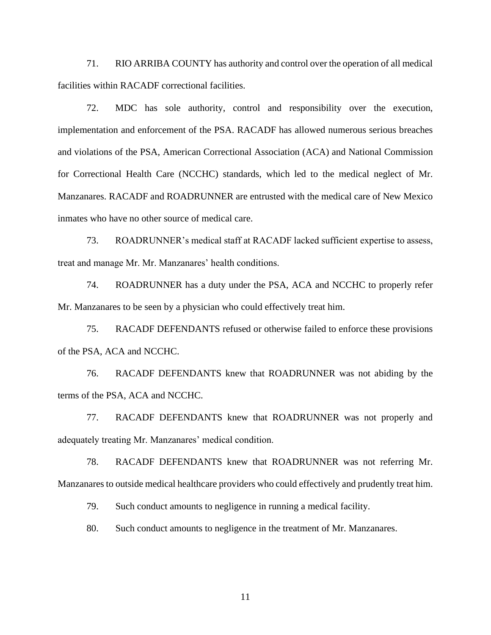71. RIO ARRIBA COUNTY has authority and control over the operation of all medical facilities within RACADF correctional facilities.

72. MDC has sole authority, control and responsibility over the execution, implementation and enforcement of the PSA. RACADF has allowed numerous serious breaches and violations of the PSA, American Correctional Association (ACA) and National Commission for Correctional Health Care (NCCHC) standards, which led to the medical neglect of Mr. Manzanares. RACADF and ROADRUNNER are entrusted with the medical care of New Mexico inmates who have no other source of medical care.

73. ROADRUNNER's medical staff at RACADF lacked sufficient expertise to assess, treat and manage Mr. Mr. Manzanares' health conditions.

74. ROADRUNNER has a duty under the PSA, ACA and NCCHC to properly refer Mr. Manzanares to be seen by a physician who could effectively treat him.

75. RACADF DEFENDANTS refused or otherwise failed to enforce these provisions of the PSA, ACA and NCCHC.

76. RACADF DEFENDANTS knew that ROADRUNNER was not abiding by the terms of the PSA, ACA and NCCHC.

77. RACADF DEFENDANTS knew that ROADRUNNER was not properly and adequately treating Mr. Manzanares' medical condition.

78. RACADF DEFENDANTS knew that ROADRUNNER was not referring Mr. Manzanares to outside medical healthcare providers who could effectively and prudently treat him.

79. Such conduct amounts to negligence in running a medical facility.

80. Such conduct amounts to negligence in the treatment of Mr. Manzanares.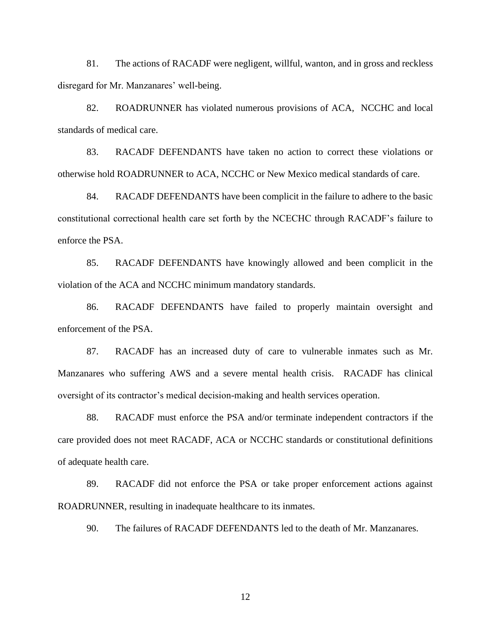81. The actions of RACADF were negligent, willful, wanton, and in gross and reckless disregard for Mr. Manzanares' well-being.

82. ROADRUNNER has violated numerous provisions of ACA, NCCHC and local standards of medical care.

83. RACADF DEFENDANTS have taken no action to correct these violations or otherwise hold ROADRUNNER to ACA, NCCHC or New Mexico medical standards of care.

84. RACADF DEFENDANTS have been complicit in the failure to adhere to the basic constitutional correctional health care set forth by the NCECHC through RACADF's failure to enforce the PSA.

85. RACADF DEFENDANTS have knowingly allowed and been complicit in the violation of the ACA and NCCHC minimum mandatory standards.

86. RACADF DEFENDANTS have failed to properly maintain oversight and enforcement of the PSA.

87. RACADF has an increased duty of care to vulnerable inmates such as Mr. Manzanares who suffering AWS and a severe mental health crisis. RACADF has clinical oversight of its contractor's medical decision-making and health services operation.

88. RACADF must enforce the PSA and/or terminate independent contractors if the care provided does not meet RACADF, ACA or NCCHC standards or constitutional definitions of adequate health care.

89. RACADF did not enforce the PSA or take proper enforcement actions against ROADRUNNER, resulting in inadequate healthcare to its inmates.

90. The failures of RACADF DEFENDANTS led to the death of Mr. Manzanares.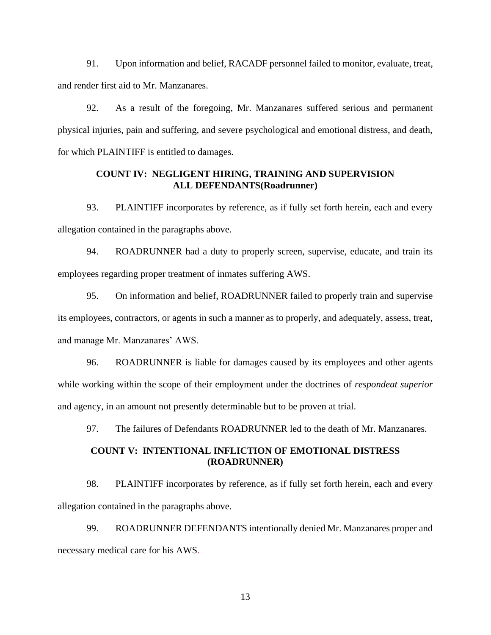91. Upon information and belief, RACADF personnel failed to monitor, evaluate, treat, and render first aid to Mr. Manzanares.

92. As a result of the foregoing, Mr. Manzanares suffered serious and permanent physical injuries, pain and suffering, and severe psychological and emotional distress, and death, for which PLAINTIFF is entitled to damages.

# **COUNT IV: NEGLIGENT HIRING, TRAINING AND SUPERVISION ALL DEFENDANTS(Roadrunner)**

93. PLAINTIFF incorporates by reference, as if fully set forth herein, each and every allegation contained in the paragraphs above.

94. ROADRUNNER had a duty to properly screen, supervise, educate, and train its employees regarding proper treatment of inmates suffering AWS.

95. On information and belief, ROADRUNNER failed to properly train and supervise its employees, contractors, or agents in such a manner as to properly, and adequately, assess, treat, and manage Mr. Manzanares' AWS.

96. ROADRUNNER is liable for damages caused by its employees and other agents while working within the scope of their employment under the doctrines of *respondeat superior*  and agency, in an amount not presently determinable but to be proven at trial.

97. The failures of Defendants ROADRUNNER led to the death of Mr. Manzanares.

### **COUNT V: INTENTIONAL INFLICTION OF EMOTIONAL DISTRESS (ROADRUNNER)**

98. PLAINTIFF incorporates by reference, as if fully set forth herein, each and every allegation contained in the paragraphs above.

99. ROADRUNNER DEFENDANTS intentionally denied Mr. Manzanares proper and necessary medical care for his AWS.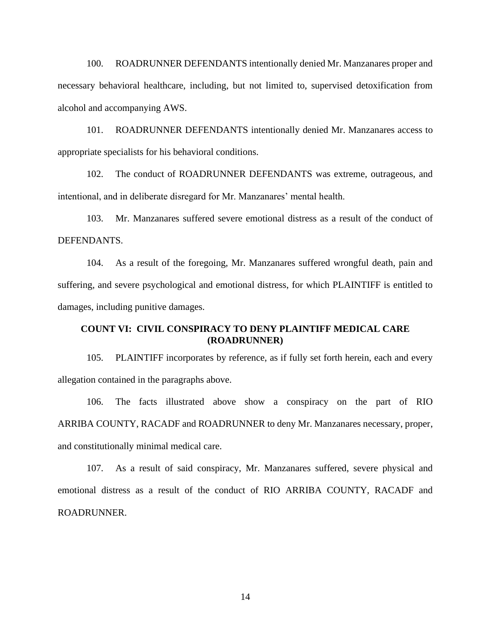100. ROADRUNNER DEFENDANTS intentionally denied Mr. Manzanares proper and necessary behavioral healthcare, including, but not limited to, supervised detoxification from alcohol and accompanying AWS.

101. ROADRUNNER DEFENDANTS intentionally denied Mr. Manzanares access to appropriate specialists for his behavioral conditions.

102. The conduct of ROADRUNNER DEFENDANTS was extreme, outrageous, and intentional, and in deliberate disregard for Mr. Manzanares' mental health.

103. Mr. Manzanares suffered severe emotional distress as a result of the conduct of DEFENDANTS.

104. As a result of the foregoing, Mr. Manzanares suffered wrongful death, pain and suffering, and severe psychological and emotional distress, for which PLAINTIFF is entitled to damages, including punitive damages.

# **COUNT VI: CIVIL CONSPIRACY TO DENY PLAINTIFF MEDICAL CARE (ROADRUNNER)**

105. PLAINTIFF incorporates by reference, as if fully set forth herein, each and every allegation contained in the paragraphs above.

106. The facts illustrated above show a conspiracy on the part of RIO ARRIBA COUNTY, RACADF and ROADRUNNER to deny Mr. Manzanares necessary, proper, and constitutionally minimal medical care.

107. As a result of said conspiracy, Mr. Manzanares suffered, severe physical and emotional distress as a result of the conduct of RIO ARRIBA COUNTY, RACADF and ROADRUNNER.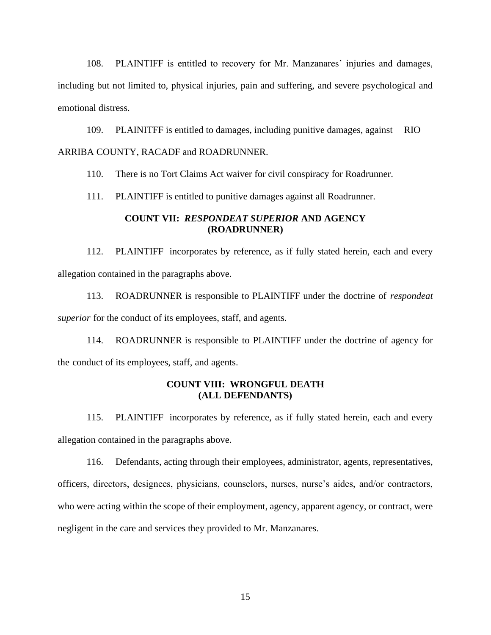108. PLAINTIFF is entitled to recovery for Mr. Manzanares' injuries and damages, including but not limited to, physical injuries, pain and suffering, and severe psychological and emotional distress.

109. PLAINITFF is entitled to damages, including punitive damages, against RIO ARRIBA COUNTY, RACADF and ROADRUNNER.

110. There is no Tort Claims Act waiver for civil conspiracy for Roadrunner.

111. PLAINTIFF is entitled to punitive damages against all Roadrunner.

### **COUNT VII:** *RESPONDEAT SUPERIOR* **AND AGENCY (ROADRUNNER)**

112. PLAINTIFF incorporates by reference, as if fully stated herein, each and every allegation contained in the paragraphs above.

113. ROADRUNNER is responsible to PLAINTIFF under the doctrine of *respondeat superior* for the conduct of its employees, staff, and agents.

114. ROADRUNNER is responsible to PLAINTIFF under the doctrine of agency for the conduct of its employees, staff, and agents.

### **COUNT VIII: WRONGFUL DEATH (ALL DEFENDANTS)**

115. PLAINTIFF incorporates by reference, as if fully stated herein, each and every allegation contained in the paragraphs above.

116. Defendants, acting through their employees, administrator, agents, representatives, officers, directors, designees, physicians, counselors, nurses, nurse's aides, and/or contractors, who were acting within the scope of their employment, agency, apparent agency, or contract, were negligent in the care and services they provided to Mr. Manzanares.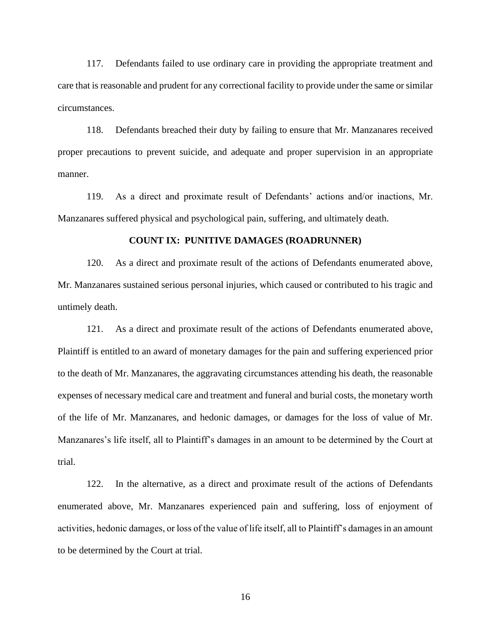117. Defendants failed to use ordinary care in providing the appropriate treatment and care that is reasonable and prudent for any correctional facility to provide under the same or similar circumstances.

118. Defendants breached their duty by failing to ensure that Mr. Manzanares received proper precautions to prevent suicide, and adequate and proper supervision in an appropriate manner.

119. As a direct and proximate result of Defendants' actions and/or inactions, Mr. Manzanares suffered physical and psychological pain, suffering, and ultimately death.

#### **COUNT IX: PUNITIVE DAMAGES (ROADRUNNER)**

120. As a direct and proximate result of the actions of Defendants enumerated above, Mr. Manzanares sustained serious personal injuries, which caused or contributed to his tragic and untimely death.

121. As a direct and proximate result of the actions of Defendants enumerated above, Plaintiff is entitled to an award of monetary damages for the pain and suffering experienced prior to the death of Mr. Manzanares, the aggravating circumstances attending his death, the reasonable expenses of necessary medical care and treatment and funeral and burial costs, the monetary worth of the life of Mr. Manzanares, and hedonic damages, or damages for the loss of value of Mr. Manzanares's life itself, all to Plaintiff's damages in an amount to be determined by the Court at trial.

122. In the alternative, as a direct and proximate result of the actions of Defendants enumerated above, Mr. Manzanares experienced pain and suffering, loss of enjoyment of activities, hedonic damages, or loss of the value of life itself, all to Plaintiff's damages in an amount to be determined by the Court at trial.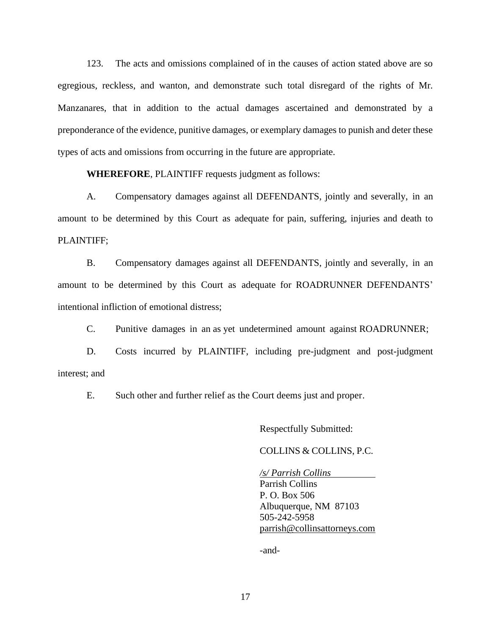123. The acts and omissions complained of in the causes of action stated above are so egregious, reckless, and wanton, and demonstrate such total disregard of the rights of Mr. Manzanares, that in addition to the actual damages ascertained and demonstrated by a preponderance of the evidence, punitive damages, or exemplary damages to punish and deter these types of acts and omissions from occurring in the future are appropriate.

**WHEREFORE**, PLAINTIFF requests judgment as follows:

A. Compensatory damages against all DEFENDANTS, jointly and severally, in an amount to be determined by this Court as adequate for pain, suffering, injuries and death to PLAINTIFF;

B. Compensatory damages against all DEFENDANTS, jointly and severally, in an amount to be determined by this Court as adequate for ROADRUNNER DEFENDANTS' intentional infliction of emotional distress;

C. Punitive damages in an as yet undetermined amount against ROADRUNNER;

D. Costs incurred by PLAINTIFF, including pre-judgment and post-judgment interest; and

E. Such other and further relief as the Court deems just and proper.

Respectfully Submitted:

### COLLINS & COLLINS, P.C.

*/s/ Parrish Collins*  Parrish Collins P. O. Box 506 Albuquerque, NM 87103 505-242-5958 [parrish@collinsattorneys.com](mailto:parrish@collinsattorneys.com)

-and-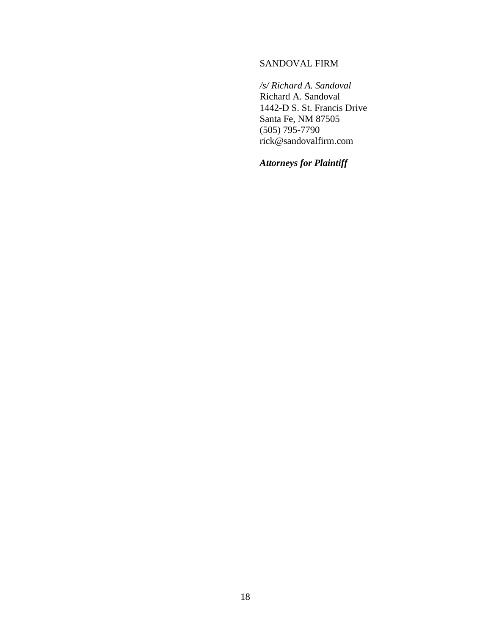# SANDOVAL FIRM

*/s/ Richard A. Sandoval*

Richard A. Sandoval 1442-D S. St. Francis Drive Santa Fe, NM 87505 (505) 795-7790 rick@sandovalfirm.com

*Attorneys for Plaintiff*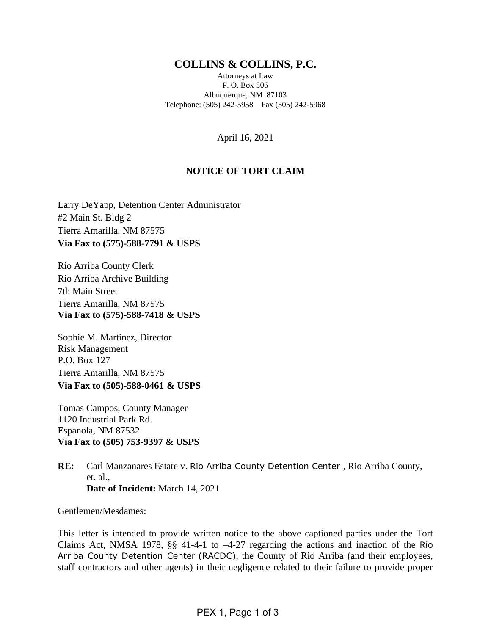# **COLLINS & COLLINS, P.C.**

Attorneys at Law P. O. Box 506 Albuquerque, NM 87103 Telephone: (505) 242-5958 Fax (505) 242-5968

April 16, 2021

# **NOTICE OF TORT CLAIM**

Larry DeYapp, Detention Center Administrator #2 Main St. Bldg 2 Tierra Amarilla, NM 87575 **Via Fax to (575)-588-7791 & USPS**

Rio Arriba County Clerk Rio Arriba Archive Building 7th Main Street Tierra Amarilla, NM 87575 **Via Fax to (575)-588-7418 & USPS**

Sophie M. Martinez, Director Risk Management P.O. Box 127 Tierra Amarilla, NM 87575 **Via Fax to (505)-588-0461 & USPS**

Tomas Campos, County Manager 1120 Industrial Park Rd. Espanola, NM 87532 **Via Fax to (505) 753-9397 & USPS**

**RE:** Carl Manzanares Estate v. Rio Arriba County Detention Center , Rio Arriba County, et. al., **Date of Incident:** March 14, 2021

Gentlemen/Mesdames:

This letter is intended to provide written notice to the above captioned parties under the Tort Claims Act, NMSA 1978, §§ 41-4-1 to –4-27 regarding the actions and inaction of the Rio Arriba County Detention Center (RACDC), the County of Rio Arriba (and their employees, staff contractors and other agents) in their negligence related to their failure to provide proper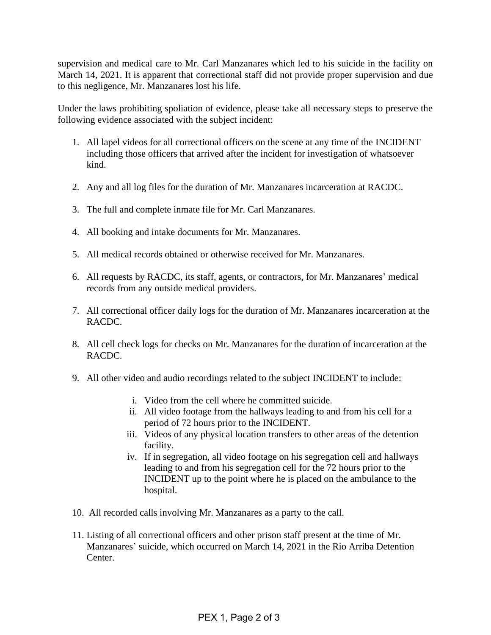supervision and medical care to Mr. Carl Manzanares which led to his suicide in the facility on March 14, 2021. It is apparent that correctional staff did not provide proper supervision and due to this negligence, Mr. Manzanares lost his life.

Under the laws prohibiting spoliation of evidence, please take all necessary steps to preserve the following evidence associated with the subject incident:

- 1. All lapel videos for all correctional officers on the scene at any time of the INCIDENT including those officers that arrived after the incident for investigation of whatsoever kind.
- 2. Any and all log files for the duration of Mr. Manzanares incarceration at RACDC.
- 3. The full and complete inmate file for Mr. Carl Manzanares.
- 4. All booking and intake documents for Mr. Manzanares.
- 5. All medical records obtained or otherwise received for Mr. Manzanares.
- 6. All requests by RACDC, its staff, agents, or contractors, for Mr. Manzanares' medical records from any outside medical providers.
- 7. All correctional officer daily logs for the duration of Mr. Manzanares incarceration at the RACDC.
- 8. All cell check logs for checks on Mr. Manzanares for the duration of incarceration at the RACDC.
- 9. All other video and audio recordings related to the subject INCIDENT to include:
	- i. Video from the cell where he committed suicide.
	- ii. All video footage from the hallways leading to and from his cell for a period of 72 hours prior to the INCIDENT.
	- iii. Videos of any physical location transfers to other areas of the detention facility.
	- iv. If in segregation, all video footage on his segregation cell and hallways leading to and from his segregation cell for the 72 hours prior to the INCIDENT up to the point where he is placed on the ambulance to the hospital.
- 10. All recorded calls involving Mr. Manzanares as a party to the call.
- 11. Listing of all correctional officers and other prison staff present at the time of Mr. Manzanares' suicide, which occurred on March 14, 2021 in the Rio Arriba Detention Center.